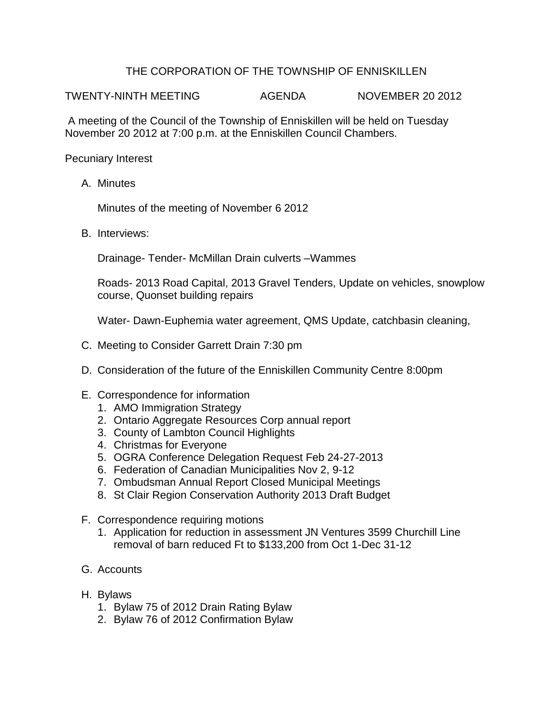## THE CORPORATION OF THE TOWNSHIP OF ENNISKILLEN

TWENTY-NINTH MEETING AGENDA NOVEMBER 20 2012

A meeting of the Council of the Township of Enniskillen will be held on Tuesday November 20 2012 at 7:00 p.m. at the Enniskillen Council Chambers.

Pecuniary Interest

A. Minutes

Minutes of the meeting of November 6 2012

B. Interviews:

Drainage- Tender- McMillan Drain culverts –Wammes

Roads- 2013 Road Capital, 2013 Gravel Tenders, Update on vehicles, snowplow course, Quonset building repairs

Water- Dawn-Euphemia water agreement, QMS Update, catchbasin cleaning,

- C. Meeting to Consider Garrett Drain 7:30 pm
- D. Consideration of the future of the Enniskillen Community Centre 8:00pm
- E. Correspondence for information
	- 1. AMO Immigration Strategy
	- 2. Ontario Aggregate Resources Corp annual report
	- 3. County of Lambton Council Highlights
	- 4. Christmas for Everyone
	- 5. OGRA Conference Delegation Request Feb 24-27-2013
	- 6. Federation of Canadian Municipalities Nov 2, 9-12
	- 7. Ombudsman Annual Report Closed Municipal Meetings
	- 8. St Clair Region Conservation Authority 2013 Draft Budget
- F. Correspondence requiring motions
	- 1. Application for reduction in assessment JN Ventures 3599 Churchill Line removal of barn reduced Ft to \$133,200 from Oct 1-Dec 31-12
- G. Accounts
- H. Bylaws
	- 1. Bylaw 75 of 2012 Drain Rating Bylaw
	- 2. Bylaw 76 of 2012 Confirmation Bylaw